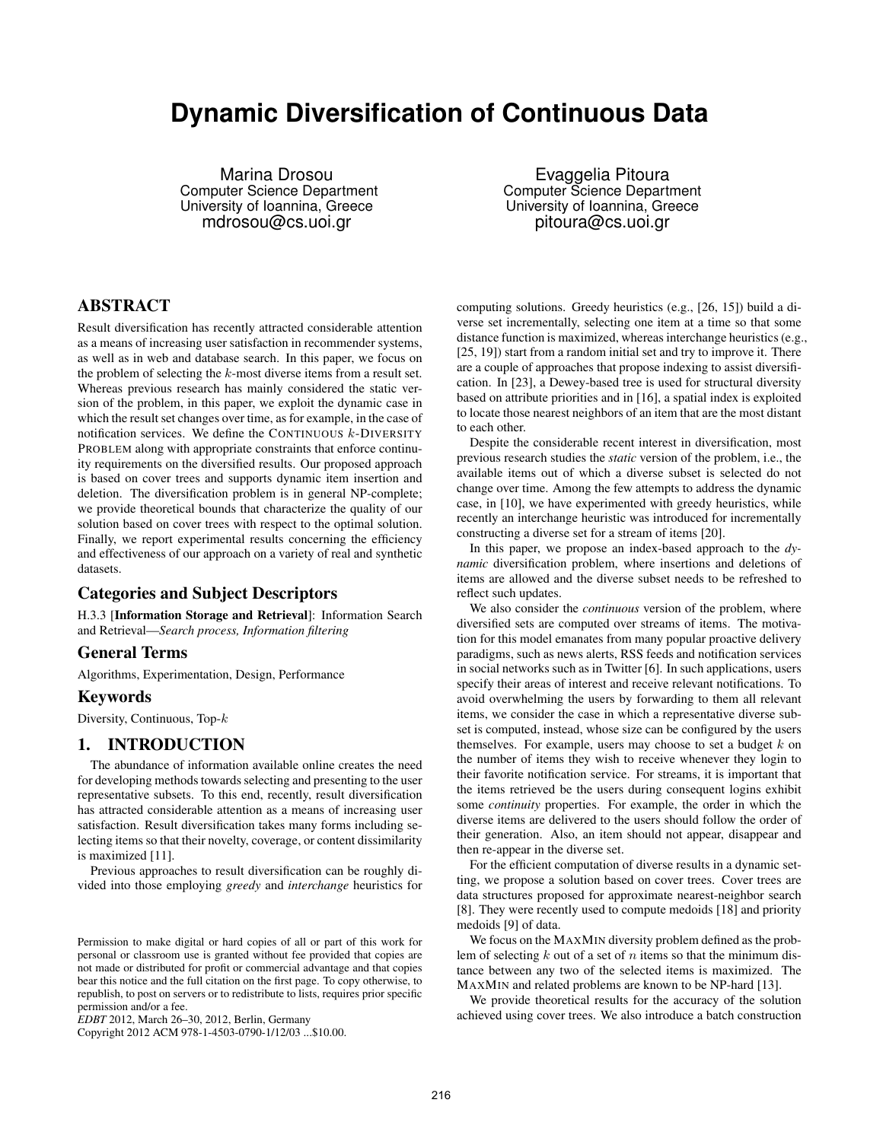# **Dynamic Diversification of Continuous Data**

Marina Drosou Computer Science Department University of Ioannina, Greece mdrosou@cs.uoi.gr

Evaggelia Pitoura Computer Science Department University of Ioannina, Greece pitoura@cs.uoi.gr

# **ABSTRACT**

Result diversification has recently attracted considerable attention as a means of increasing user satisfaction in recommender systems, as well as in web and database search. In this paper, we focus on the problem of selecting the  $k$ -most diverse items from a result set. Whereas previous research has mainly considered the static version of the problem, in this paper, we exploit the dynamic case in which the result set changes over time, as for example, in the case of notification services. We define the CONTINUOUS  $k$ -DIVERSITY PROBLEM along with appropriate constraints that enforce continuity requirements on the diversified results. Our proposed approach is based on cover trees and supports dynamic item insertion and deletion. The diversification problem is in general NP-complete; we provide theoretical bounds that characterize the quality of our solution based on cover trees with respect to the optimal solution. Finally, we report experimental results concerning the efficiency and effectiveness of our approach on a variety of real and synthetic datasets.

# **Categories and Subject Descriptors**

H.3.3 [**Information Storage and Retrieval**]: Information Search and Retrieval—*Search process, Information filtering*

## **General Terms**

Algorithms, Experimentation, Design, Performance

## **Keywords**

Diversity, Continuous, Top-k

## **1. INTRODUCTION**

The abundance of information available online creates the need for developing methods towards selecting and presenting to the user representative subsets. To this end, recently, result diversification has attracted considerable attention as a means of increasing user satisfaction. Result diversification takes many forms including selecting items so that their novelty, coverage, or content dissimilarity is maximized [11].

Previous approaches to result diversification can be roughly divided into those employing *greedy* and *interchange* heuristics for

Copyright 2012 ACM 978-1-4503-0790-1/12/03 ...\$10.00.

computing solutions. Greedy heuristics (e.g., [26, 15]) build a diverse set incrementally, selecting one item at a time so that some distance function is maximized, whereas interchange heuristics (e.g., [25, 19]) start from a random initial set and try to improve it. There are a couple of approaches that propose indexing to assist diversification. In [23], a Dewey-based tree is used for structural diversity based on attribute priorities and in [16], a spatial index is exploited to locate those nearest neighbors of an item that are the most distant to each other.

Despite the considerable recent interest in diversification, most previous research studies the *static* version of the problem, i.e., the available items out of which a diverse subset is selected do not change over time. Among the few attempts to address the dynamic case, in [10], we have experimented with greedy heuristics, while recently an interchange heuristic was introduced for incrementally constructing a diverse set for a stream of items [20].

In this paper, we propose an index-based approach to the *dynamic* diversification problem, where insertions and deletions of items are allowed and the diverse subset needs to be refreshed to reflect such updates.

We also consider the *continuous* version of the problem, where diversified sets are computed over streams of items. The motivation for this model emanates from many popular proactive delivery paradigms, such as news alerts, RSS feeds and notification services in social networks such as in Twitter [6]. In such applications, users specify their areas of interest and receive relevant notifications. To avoid overwhelming the users by forwarding to them all relevant items, we consider the case in which a representative diverse subset is computed, instead, whose size can be configured by the users themselves. For example, users may choose to set a budget  $k$  on the number of items they wish to receive whenever they login to their favorite notification service. For streams, it is important that the items retrieved be the users during consequent logins exhibit some *continuity* properties. For example, the order in which the diverse items are delivered to the users should follow the order of their generation. Also, an item should not appear, disappear and then re-appear in the diverse set.

For the efficient computation of diverse results in a dynamic setting, we propose a solution based on cover trees. Cover trees are data structures proposed for approximate nearest-neighbor search [8]. They were recently used to compute medoids [18] and priority medoids [9] of data.

We focus on the MAXMIN diversity problem defined as the problem of selecting  $k$  out of a set of  $n$  items so that the minimum distance between any two of the selected items is maximized. The MAXMIN and related problems are known to be NP-hard [13].

We provide theoretical results for the accuracy of the solution achieved using cover trees. We also introduce a batch construction

Permission to make digital or hard copies of all or part of this work for personal or classroom use is granted without fee provided that copies are not made or distributed for profit or commercial advantage and that copies bear this notice and the full citation on the first page. To copy otherwise, to republish, to post on servers or to redistribute to lists, requires prior specific permission and/or a fee.

*EDBT* 2012, March 26–30, 2012, Berlin, Germany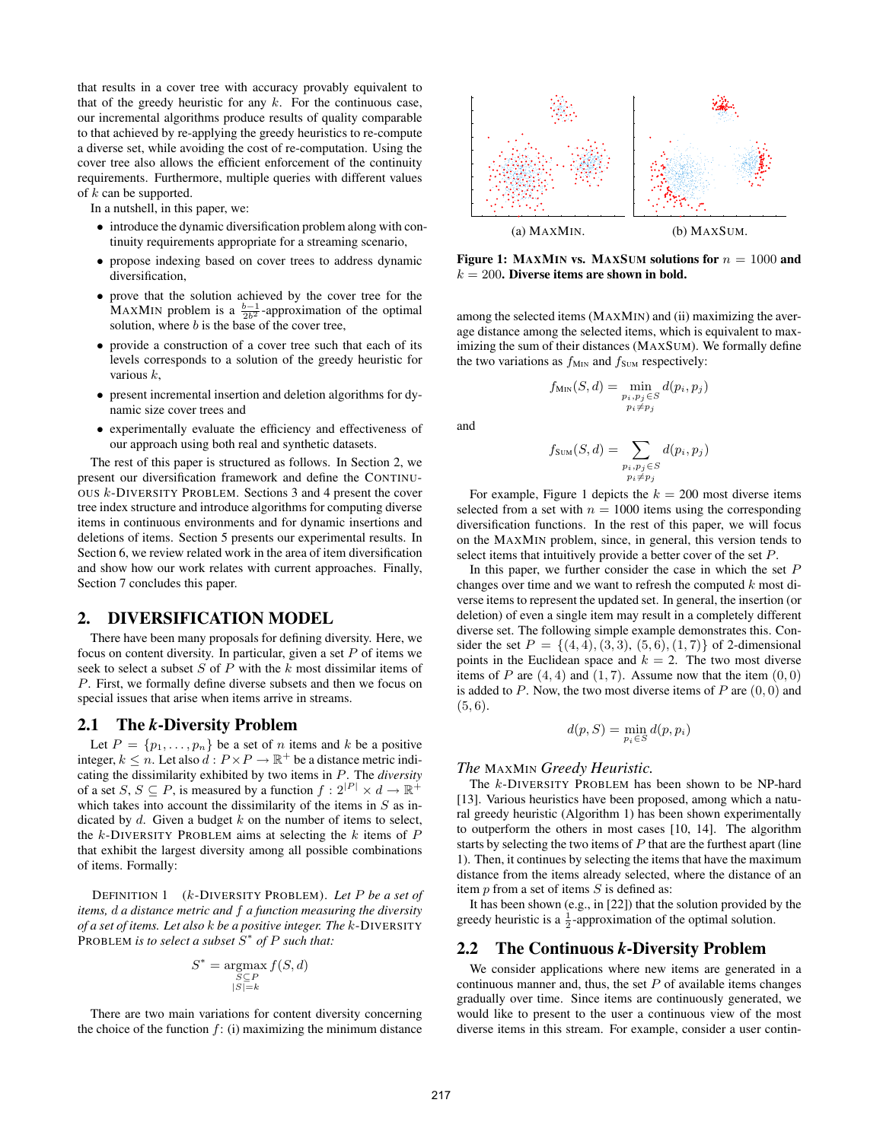that results in a cover tree with accuracy provably equivalent to that of the greedy heuristic for any  $k$ . For the continuous case, our incremental algorithms produce results of quality comparable to that achieved by re-applying the greedy heuristics to re-compute a diverse set, while avoiding the cost of re-computation. Using the cover tree also allows the efficient enforcement of the continuity requirements. Furthermore, multiple queries with different values of  $k$  can be supported.

In a nutshell, in this paper, we:

- introduce the dynamic diversification problem along with continuity requirements appropriate for a streaming scenario,
- propose indexing based on cover trees to address dynamic diversification,
- prove that the solution achieved by the cover tree for the MAXMIN problem is a  $\frac{b-1}{2b^2}$ -approximation of the optimal solution, where  $b$  is the base of the cover tree,
- provide a construction of a cover tree such that each of its levels corresponds to a solution of the greedy heuristic for various k,
- present incremental insertion and deletion algorithms for dynamic size cover trees and
- experimentally evaluate the efficiency and effectiveness of our approach using both real and synthetic datasets.

The rest of this paper is structured as follows. In Section 2, we present our diversification framework and define the CONTINU-OUS k-DIVERSITY PROBLEM. Sections 3 and 4 present the cover tree index structure and introduce algorithms for computing diverse items in continuous environments and for dynamic insertions and deletions of items. Section 5 presents our experimental results. In Section 6, we review related work in the area of item diversification and show how our work relates with current approaches. Finally, Section 7 concludes this paper.

# **2. DIVERSIFICATION MODEL**

There have been many proposals for defining diversity. Here, we focus on content diversity. In particular, given a set  $P$  of items we seek to select a subset  $S$  of  $P$  with the  $k$  most dissimilar items of P. First, we formally define diverse subsets and then we focus on special issues that arise when items arrive in streams.

## **2.1 The** *k***-Diversity Problem**

Let  $P = \{p_1, \ldots, p_n\}$  be a set of n items and k be a positive integer,  $k \leq n$ . Let also  $d: P \times P \to \mathbb{R}^+$  be a distance metric indicating the dissimilarity exhibited by two items in P. The *diversity* of a set  $S, S \subseteq P$ , is measured by a function  $f: 2^{|P|} \times d \to \mathbb{R}^+$ which takes into account the dissimilarity of the items in  $S$  as indicated by  $d$ . Given a budget  $k$  on the number of items to select, the k-DIVERSITY PROBLEM aims at selecting the  $k$  items of  $P$ that exhibit the largest diversity among all possible combinations of items. Formally:

DEFINITION 1 (k-DIVERSITY PROBLEM). *Let* P *be a set of items,* d *a distance metric and* f *a function measuring the diversity of a set of items. Let also* k *be a positive integer. The* k-DIVERSITY PROBLEM *is to select a subset* S ∗ *of* P *such that:*

$$
S^* = \operatorname*{argmax}_{\substack{S \subseteq P \\ |S| = k}} f(S, d)
$$

There are two main variations for content diversity concerning the choice of the function  $f$ : (i) maximizing the minimum distance



**Figure 1:** MAXMIN vs. MAXSUM solutions for  $n = 1000$  and  $k = 200$ . Diverse items are shown in bold.

among the selected items (MAXMIN) and (ii) maximizing the average distance among the selected items, which is equivalent to maximizing the sum of their distances (MAXSUM). We formally define the two variations as  $f_{\text{MIN}}$  and  $f_{\text{SUM}}$  respectively:

$$
f_{\text{MIN}}(S, d) = \min_{\substack{p_i, p_j \in S \\ p_i \neq p_j}} d(p_i, p_j)
$$

and

$$
f_{\text{SUM}}(S, d) = \sum_{\substack{p_i, p_j \in S \\ p_i \neq p_j}} d(p_i, p_j)
$$

For example, Figure 1 depicts the  $k = 200$  most diverse items selected from a set with  $n = 1000$  items using the corresponding diversification functions. In the rest of this paper, we will focus on the MAXMIN problem, since, in general, this version tends to select items that intuitively provide a better cover of the set P.

In this paper, we further consider the case in which the set  $P$ changes over time and we want to refresh the computed  $k$  most diverse items to represent the updated set. In general, the insertion (or deletion) of even a single item may result in a completely different diverse set. The following simple example demonstrates this. Consider the set  $P = \{(4, 4), (3, 3), (5, 6), (1, 7)\}$  of 2-dimensional points in the Euclidean space and  $k = 2$ . The two most diverse items of P are  $(4, 4)$  and  $(1, 7)$ . Assume now that the item  $(0, 0)$ is added to  $P$ . Now, the two most diverse items of  $P$  are  $(0, 0)$  and  $(5, 6).$ 

$$
d(p, S) = \min_{p_i \in S} d(p, p_i)
$$

#### *The* MAXMIN *Greedy Heuristic.*

The k-DIVERSITY PROBLEM has been shown to be NP-hard [13]. Various heuristics have been proposed, among which a natural greedy heuristic (Algorithm 1) has been shown experimentally to outperform the others in most cases [10, 14]. The algorithm starts by selecting the two items of  $P$  that are the furthest apart (line 1). Then, it continues by selecting the items that have the maximum distance from the items already selected, where the distance of an item  $p$  from a set of items  $S$  is defined as:

It has been shown (e.g., in [22]) that the solution provided by the greedy heuristic is a  $\frac{1}{2}$ -approximation of the optimal solution.

#### **2.2 The Continuous** *k***-Diversity Problem**

We consider applications where new items are generated in a continuous manner and, thus, the set  $P$  of available items changes gradually over time. Since items are continuously generated, we would like to present to the user a continuous view of the most diverse items in this stream. For example, consider a user contin-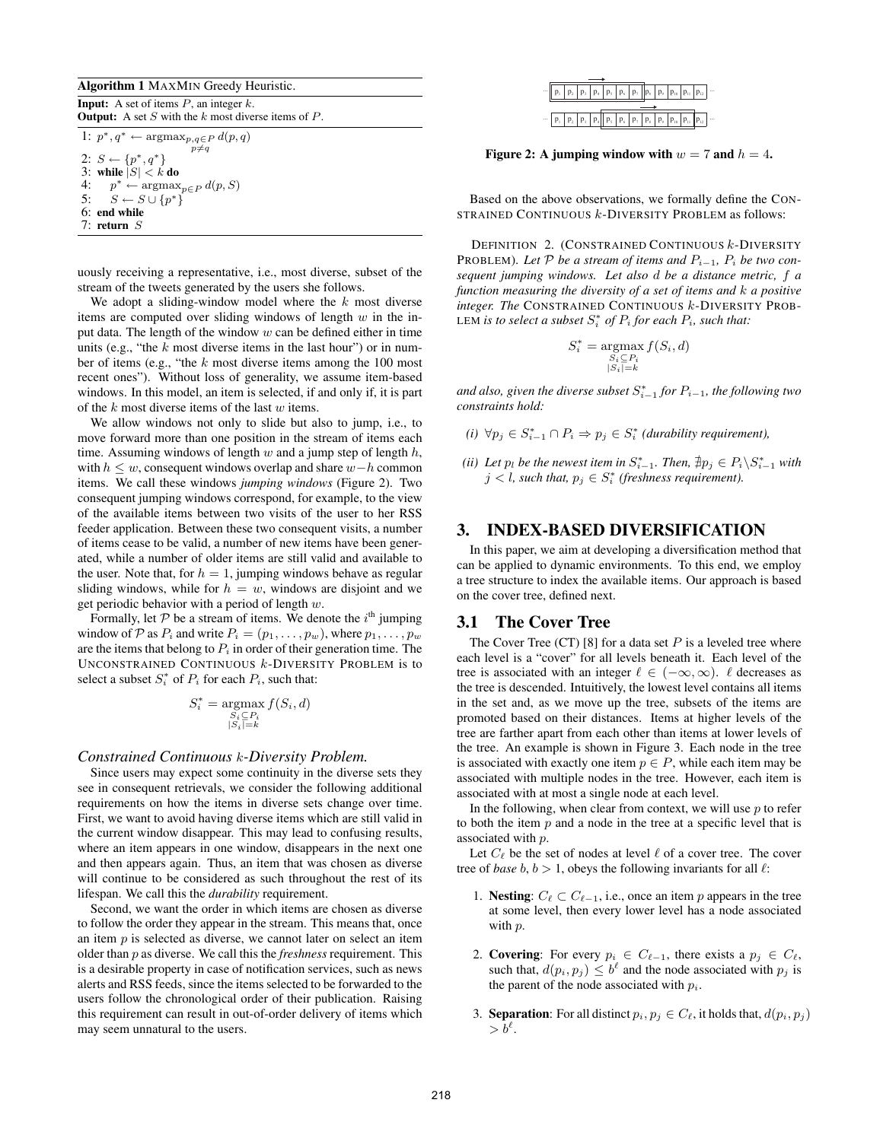#### **Algorithm 1** MAXMIN Greedy Heuristic.

**Input:** A set of items  $P$ , an integer  $k$ .

**Output:** A set  $S$  with the  $k$  most diverse items of  $P$ .

1:  $p^*, q^* \leftarrow \operatorname{argmax}_{\substack{p,q \in P \\ p \neq q}} d(p,q)$ 2:  $S \leftarrow \{p^*, q^*\}$ 3: while  $|S| < k$  do 4:  $p^* \leftarrow \operatorname{argmax}_{p \in P} d(p, S)$ 5:  $S \leftarrow S \cup \{p^*\}$ 6: **end while** 7: **return** S

uously receiving a representative, i.e., most diverse, subset of the stream of the tweets generated by the users she follows.

We adopt a sliding-window model where the  $k$  most diverse items are computed over sliding windows of length  $w$  in the input data. The length of the window  $w$  can be defined either in time units (e.g., "the  $k$  most diverse items in the last hour") or in number of items (e.g., "the k most diverse items among the 100 most recent ones"). Without loss of generality, we assume item-based windows. In this model, an item is selected, if and only if, it is part of the  $k$  most diverse items of the last  $w$  items.

We allow windows not only to slide but also to jump, i.e., to move forward more than one position in the stream of items each time. Assuming windows of length  $w$  and a jump step of length  $h$ , with  $h \leq w$ , consequent windows overlap and share  $w-h$  common items. We call these windows *jumping windows* (Figure 2). Two consequent jumping windows correspond, for example, to the view of the available items between two visits of the user to her RSS feeder application. Between these two consequent visits, a number of items cease to be valid, a number of new items have been generated, while a number of older items are still valid and available to the user. Note that, for  $h = 1$ , jumping windows behave as regular sliding windows, while for  $h = w$ , windows are disjoint and we get periodic behavior with a period of length  $w$ .

Formally, let  $P$  be a stream of items. We denote the  $i<sup>th</sup>$  jumping window of P as  $P_i$  and write  $P_i = (p_1, \ldots, p_w)$ , where  $p_1, \ldots, p_w$ are the items that belong to  $P_i$  in order of their generation time. The UNCONSTRAINED CONTINUOUS k-DIVERSITY PROBLEM is to select a subset  $S_i^*$  of  $P_i$  for each  $P_i$ , such that:

$$
S_i^* = \operatorname*{argmax}_{\substack{S_i \subseteq P_i \\ |S_i| = k}} f(S_i, d)
$$

#### *Constrained Continuous* k*-Diversity Problem.*

Since users may expect some continuity in the diverse sets they see in consequent retrievals, we consider the following additional requirements on how the items in diverse sets change over time. First, we want to avoid having diverse items which are still valid in the current window disappear. This may lead to confusing results, where an item appears in one window, disappears in the next one and then appears again. Thus, an item that was chosen as diverse will continue to be considered as such throughout the rest of its lifespan. We call this the *durability* requirement.

Second, we want the order in which items are chosen as diverse to follow the order they appear in the stream. This means that, once an item  $p$  is selected as diverse, we cannot later on select an item older than p as diverse. We call this the *freshness* requirement. This is a desirable property in case of notification services, such as news alerts and RSS feeds, since the items selected to be forwarded to the users follow the chronological order of their publication. Raising this requirement can result in out-of-order delivery of items which may seem unnatural to the users.

**Figure 2:** A jumping window with  $w = 7$  and  $h = 4$ .

Based on the above observations, we formally define the CON-STRAINED CONTINUOUS k-DIVERSITY PROBLEM as follows:

DEFINITION 2. (CONSTRAINED CONTINUOUS k-DIVERSITY PROBLEM). Let  $P$  *be a stream of items and*  $P_{i-1}$ ,  $P_i$  *be two consequent jumping windows. Let also* d *be a distance metric,* f *a function measuring the diversity of a set of items and* k *a positive integer. The* CONSTRAINED CONTINUOUS k-DIVERSITY PROB-LEM *is to select a subset*  $S_i^*$  *of*  $P_i$  *for each*  $P_i$ *, such that:* 

$$
S_i^* = \operatorname*{argmax}_{\substack{S_i \subseteq P_i \\ |S_i| = k}} f(S_i, d)
$$

*and also, given the diverse subset* S ∗ <sup>i</sup>−<sup>1</sup> *for* P<sup>i</sup>−1*, the following two constraints hold:*

*(i)*  $\forall p_j \in S_{i-1}^* \cap P_i \Rightarrow p_j \in S_i^*$  *(durability requirement),* 

*(ii)* Let  $p_l$  be the newest item in  $S_{i-1}^*$ . Then,  $\frac{4}{7}p_j$  ∈  $P_i\backslash S_{i-1}^*$  with  $j < l$ , such that,  $p_j \in S_i^*$  (freshness requirement).

# **3. INDEX-BASED DIVERSIFICATION**

In this paper, we aim at developing a diversification method that can be applied to dynamic environments. To this end, we employ a tree structure to index the available items. Our approach is based on the cover tree, defined next.

## **3.1 The Cover Tree**

The Cover Tree (CT) [8] for a data set  $P$  is a leveled tree where each level is a "cover" for all levels beneath it. Each level of the tree is associated with an integer  $\ell \in (-\infty, \infty)$ .  $\ell$  decreases as the tree is descended. Intuitively, the lowest level contains all items in the set and, as we move up the tree, subsets of the items are promoted based on their distances. Items at higher levels of the tree are farther apart from each other than items at lower levels of the tree. An example is shown in Figure 3. Each node in the tree is associated with exactly one item  $p \in P$ , while each item may be associated with multiple nodes in the tree. However, each item is associated with at most a single node at each level.

In the following, when clear from context, we will use  $p$  to refer to both the item  $p$  and a node in the tree at a specific level that is associated with p.

Let  $C_{\ell}$  be the set of nodes at level  $\ell$  of a cover tree. The cover tree of *base*  $b, b > 1$ , obeys the following invariants for all  $l$ :

- 1. **Nesting**:  $C_{\ell} \subset C_{\ell-1}$ , i.e., once an item p appears in the tree at some level, then every lower level has a node associated with  $p$ .
- 2. **Covering**: For every  $p_i \in C_{\ell-1}$ , there exists a  $p_j \in C_{\ell}$ , such that,  $d(p_i, p_j) \leq b^{\ell}$  and the node associated with  $p_j$  is the parent of the node associated with  $p_i$ .
- 3. **Separation**: For all distinct  $p_i, p_j \in C_\ell$ , it holds that,  $d(p_i, p_j)$  $>b^{\ell}$ .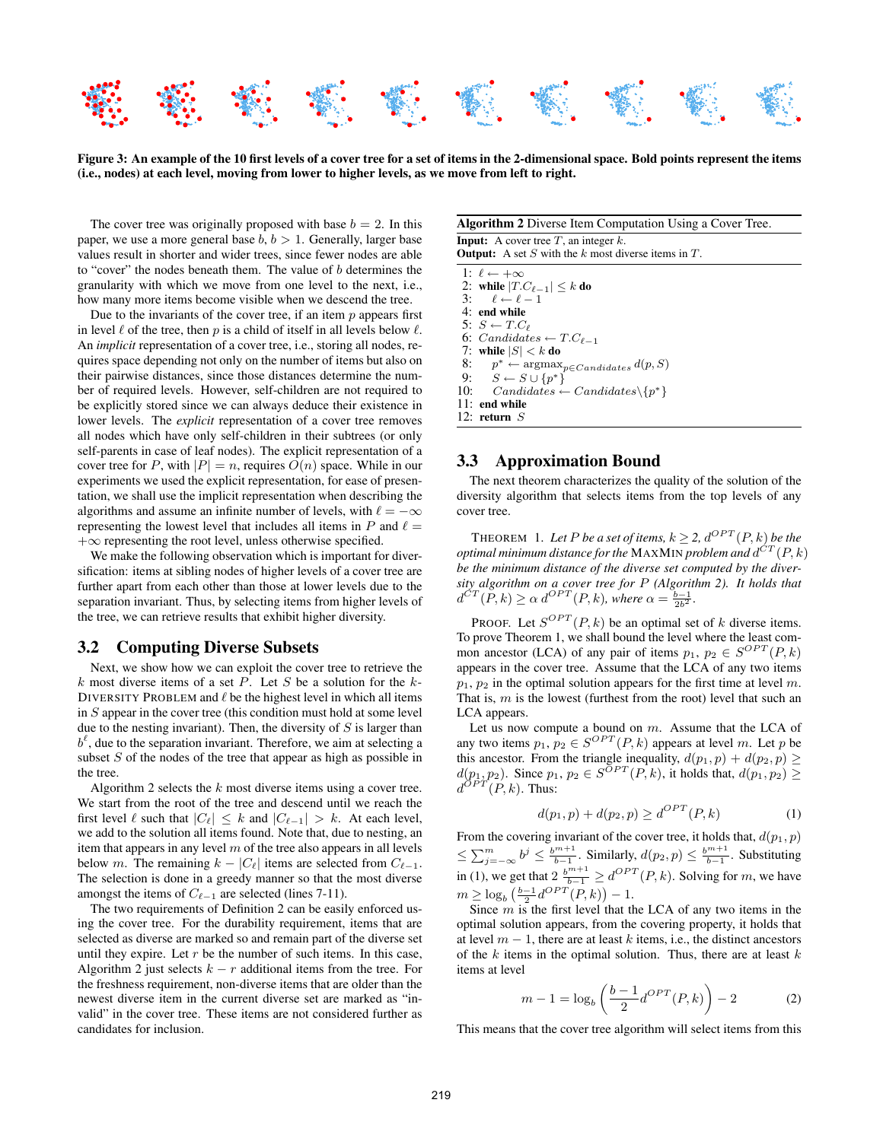

**Figure 3: An example of the 10 first levels of a cover tree for a set of items in the 2-dimensional space. Bold points represent the items (i.e., nodes) at each level, moving from lower to higher levels, as we move from left to right.**

The cover tree was originally proposed with base  $b = 2$ . In this paper, we use a more general base  $b, b > 1$ . Generally, larger base values result in shorter and wider trees, since fewer nodes are able to "cover" the nodes beneath them. The value of b determines the granularity with which we move from one level to the next, i.e., how many more items become visible when we descend the tree.

Due to the invariants of the cover tree, if an item  $p$  appears first in level  $\ell$  of the tree, then p is a child of itself in all levels below  $\ell$ . An *implicit* representation of a cover tree, i.e., storing all nodes, requires space depending not only on the number of items but also on their pairwise distances, since those distances determine the number of required levels. However, self-children are not required to be explicitly stored since we can always deduce their existence in lower levels. The *explicit* representation of a cover tree removes all nodes which have only self-children in their subtrees (or only self-parents in case of leaf nodes). The explicit representation of a cover tree for P, with  $|P| = n$ , requires  $O(n)$  space. While in our experiments we used the explicit representation, for ease of presentation, we shall use the implicit representation when describing the algorithms and assume an infinite number of levels, with  $\ell = -\infty$ representing the lowest level that includes all items in P and  $\ell =$  $+\infty$  representing the root level, unless otherwise specified.

We make the following observation which is important for diversification: items at sibling nodes of higher levels of a cover tree are further apart from each other than those at lower levels due to the separation invariant. Thus, by selecting items from higher levels of the tree, we can retrieve results that exhibit higher diversity.

#### **3.2 Computing Diverse Subsets**

Next, we show how we can exploit the cover tree to retrieve the  $k$  most diverse items of a set  $P$ . Let  $S$  be a solution for the  $k$ -DIVERSITY PROBLEM and  $\ell$  be the highest level in which all items in  $S$  appear in the cover tree (this condition must hold at some level due to the nesting invariant). Then, the diversity of  $S$  is larger than  $b^{\ell}$ , due to the separation invariant. Therefore, we aim at selecting a subset  $S$  of the nodes of the tree that appear as high as possible in the tree.

Algorithm 2 selects the  $k$  most diverse items using a cover tree. We start from the root of the tree and descend until we reach the first level  $\ell$  such that  $|C_{\ell}| \leq k$  and  $|C_{\ell-1}| > k$ . At each level, we add to the solution all items found. Note that, due to nesting, an item that appears in any level  $m$  of the tree also appears in all levels below m. The remaining  $k - |C_\ell|$  items are selected from  $C_{\ell-1}$ . The selection is done in a greedy manner so that the most diverse amongst the items of  $C_{\ell-1}$  are selected (lines 7-11).

The two requirements of Definition 2 can be easily enforced using the cover tree. For the durability requirement, items that are selected as diverse are marked so and remain part of the diverse set until they expire. Let  $r$  be the number of such items. In this case, Algorithm 2 just selects  $k - r$  additional items from the tree. For the freshness requirement, non-diverse items that are older than the newest diverse item in the current diverse set are marked as "invalid" in the cover tree. These items are not considered further as candidates for inclusion.

## **Algorithm 2** Diverse Item Computation Using a Cover Tree. **Input:** A cover tree  $T$ , an integer  $k$ .

**Output:** A set S with the k most diverse items in T.

1:  $\ell \leftarrow +\infty$ 2: **while**  $|T.C_{\ell-1}| \le k$  **do**<br>3:  $\ell \leftarrow \ell - 1$  $\ell \leftarrow \ell - 1$ 4: **end while** 5:  $S \leftarrow T.C_{\ell}$ 6: Candidates  $\leftarrow T.C_{\ell-1}$ 7: while  $|S| < k$  do 8:  $p^* \leftarrow \text{argmax}_{p \in Candidates} d(p, S)$ 9:  $S \leftarrow S \cup \{p^*\}$ 10: Candidates ← Candidates \{p<sup>\*</sup>} 11: **end while** 12: **return** S

## **3.3 Approximation Bound**

The next theorem characterizes the quality of the solution of the diversity algorithm that selects items from the top levels of any cover tree.

THEOREM 1. Let P be a set of items,  $k \geq 2$ ,  $d^{OPT}(P, k)$  be the  $\emph{optimal minimum distance for the MAXMIN problem and } d^{CT}(P,k)$ *be the minimum distance of the diverse set computed by the diversity algorithm on a cover tree for* P *(Algorithm 2). It holds that*  $d^{CT}(P,k) \ge \alpha \ d^{OPT}(P,k)$ , where  $\alpha = \frac{b-1}{2b^2}$ .

PROOF. Let  $S^{OPT}(P, k)$  be an optimal set of k diverse items. To prove Theorem 1, we shall bound the level where the least common ancestor (LCA) of any pair of items  $p_1, p_2 \in S^{OPT}(P, k)$ appears in the cover tree. Assume that the LCA of any two items  $p_1, p_2$  in the optimal solution appears for the first time at level m. That is,  $m$  is the lowest (furthest from the root) level that such an LCA appears.

Let us now compute a bound on m. Assume that the LCA of any two items  $p_1, p_2 \in S^{OPT}(P, k)$  appears at level m. Let p be this ancestor. From the triangle inequality,  $d(p_1, p) + d(p_2, p) \ge$  $d(p_1, p_2)$ . Since  $p_1, p_2 \in S^{OPT}(P, k)$ , it holds that,  $d(p_1, p_2) \geq$  $d^{OPT}(P, k)$ . Thus:

$$
d(p_1, p) + d(p_2, p) \ge d^{OPT}(P, k)
$$
 (1)

From the covering invariant of the cover tree, it holds that,  $d(p_1, p)$  $\leq \sum_{j=-\infty}^{m} b^j \leq \frac{b^{m+1}}{b-1}$ . Similarly,  $d(p_2, p) \leq \frac{b^{m+1}}{b-1}$ . Substituting in (1), we get that  $2 \frac{b^{m+1}}{b-1} \geq d^{OPT}(P, k)$ . Solving for m, we have  $m \geq \log_b \left( \frac{b-1}{2} d^{OPT}(P, k) \right) - 1.$ 

Since  $m$  is the first level that the LCA of any two items in the optimal solution appears, from the covering property, it holds that at level  $m - 1$ , there are at least k items, i.e., the distinct ancestors of the  $k$  items in the optimal solution. Thus, there are at least  $k$ items at level

$$
m - 1 = \log_b \left( \frac{b - 1}{2} d^{OPT}(P, k) \right) - 2
$$
 (2)

This means that the cover tree algorithm will select items from this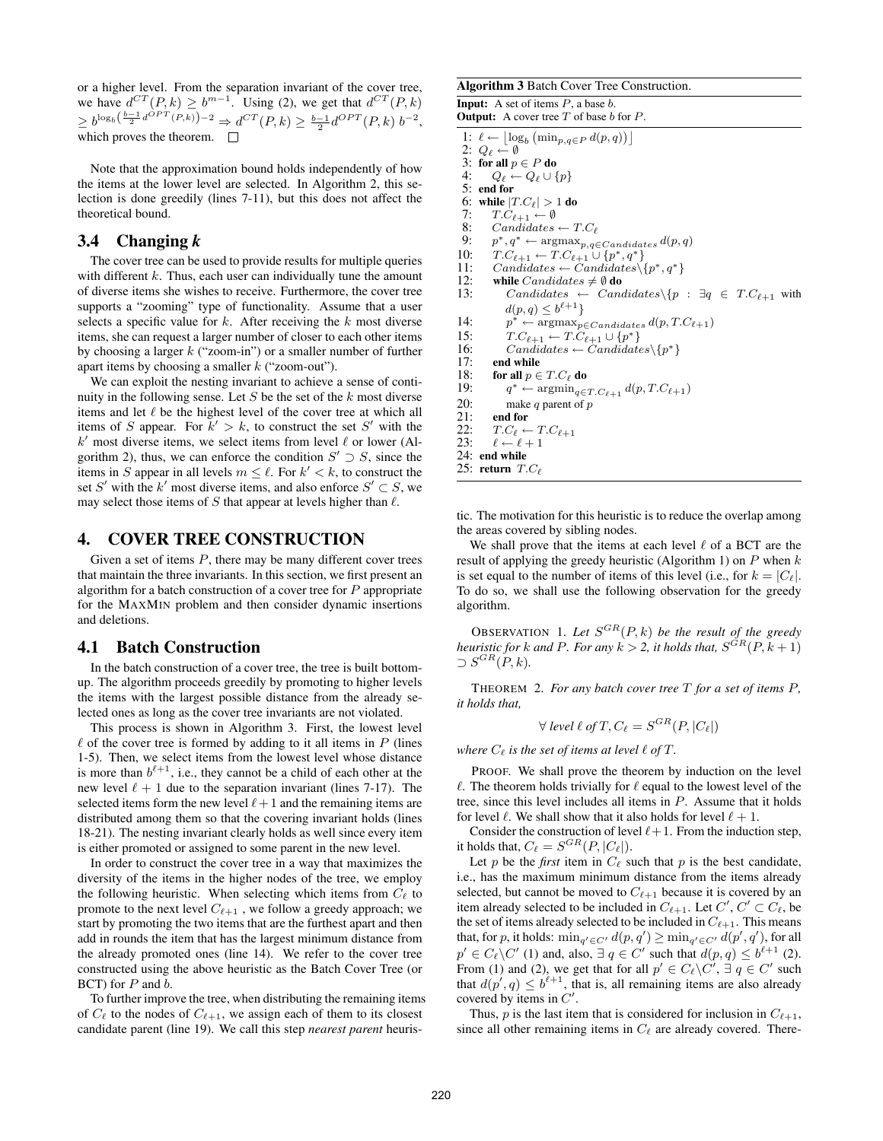or a higher level. From the separation invariant of the cover tree, we have  $d^{CT}(P, k) \ge b^{m-1}$ . Using (2), we get that  $d^{CT}(P, k)$  $\geq b^{\log_b\left(\frac{b-1}{2}d^{OPT}(P,k)\right)-2} \Rightarrow d^{CT}(P,k) \geq \frac{b-1}{2}d^{OPT}(P,k) b^{-2},$ which proves the theorem.  $\Box$ 

Note that the approximation bound holds independently of how the items at the lower level are selected. In Algorithm 2, this selection is done greedily (lines 7-11), but this does not affect the theoretical bound.

### **3.4 Changing** *k*

The cover tree can be used to provide results for multiple queries with different  $k$ . Thus, each user can individually tune the amount of diverse items she wishes to receive. Furthermore, the cover tree supports a "zooming" type of functionality. Assume that a user selects a specific value for  $k$ . After receiving the  $k$  most diverse items, she can request a larger number of closer to each other items by choosing a larger  $k$  ("zoom-in") or a smaller number of further apart items by choosing a smaller  $k$  ("zoom-out").

We can exploit the nesting invariant to achieve a sense of continuity in the following sense. Let  $S$  be the set of the  $k$  most diverse items and let  $\ell$  be the highest level of the cover tree at which all items of S appear. For  $k' > k$ , to construct the set S' with the  $k'$  most diverse items, we select items from level  $\ell$  or lower (Algorithm 2), thus, we can enforce the condition  $S' \supset S$ , since the items in S appear in all levels  $m \leq \ell$ . For  $k' < k$ , to construct the set S' with the k' most diverse items, and also enforce  $S' \subset S$ , we may select those items of S that appear at levels higher than  $\ell$ .

## **4. COVER TREE CONSTRUCTION**

Given a set of items  $P$ , there may be many different cover trees that maintain the three invariants. In this section, we first present an algorithm for a batch construction of a cover tree for  $P$  appropriate for the MAXMIN problem and then consider dynamic insertions and deletions.

#### **4.1 Batch Construction**

In the batch construction of a cover tree, the tree is built bottomup. The algorithm proceeds greedily by promoting to higher levels the items with the largest possible distance from the already selected ones as long as the cover tree invariants are not violated.

This process is shown in Algorithm 3. First, the lowest level  $\ell$  of the cover tree is formed by adding to it all items in  $P$  (lines 1-5). Then, we select items from the lowest level whose distance is more than  $b^{\ell+1}$ , i.e., they cannot be a child of each other at the new level  $\ell + 1$  due to the separation invariant (lines 7-17). The selected items form the new level  $\ell + 1$  and the remaining items are distributed among them so that the covering invariant holds (lines 18-21). The nesting invariant clearly holds as well since every item is either promoted or assigned to some parent in the new level.

In order to construct the cover tree in a way that maximizes the diversity of the items in the higher nodes of the tree, we employ the following heuristic. When selecting which items from  $C_{\ell}$  to promote to the next level  $C_{\ell+1}$ , we follow a greedy approach; we start by promoting the two items that are the furthest apart and then add in rounds the item that has the largest minimum distance from the already promoted ones (line 14). We refer to the cover tree constructed using the above heuristic as the Batch Cover Tree (or  $BCT$ ) for  $P$  and  $b$ .

To further improve the tree, when distributing the remaining items of  $C_{\ell}$  to the nodes of  $C_{\ell+1}$ , we assign each of them to its closest candidate parent (line 19). We call this step *nearest parent* heuris-

**Algorithm 3** Batch Cover Tree Construction. **Input:** A set of items P, a base b. **Output:** A cover tree T of base b for P. 1:  $\ell \leftarrow \lfloor \log_b \left( \min_{p,q \in P} d(p,q) \right) \rfloor$ 2:  $Q_{\ell} \leftarrow \emptyset$ 3: **for all**  $p \in P$  **do**<br>4:  $Q_{\ell} \leftarrow Q_{\ell} \cup \{$  $Q_{\ell} \leftarrow Q_{\ell} \cup \{p\}$ 5: **end for** 6: **while**  $|T.C_{\ell}| > 1$  **do**<br>7:  $T.C_{\ell+1} \leftarrow \emptyset$ 7:  $T.C_{\ell+1} \leftarrow \emptyset$ <br>8: *Candidates*  $Candidates \leftarrow T.C_{\ell}$ 9: p  $p^*, q^* \leftarrow \text{argmax}_{p,q \in Candidates} \, d(p,q)$ 10:  $T.C_{\ell+1} \leftarrow T.C_{\ell+1} \cup \{p^*, q^*\}$ 11: Candidates ← Candidates { $\{p^*, q^*\}$ 12: **while** Candidates  $\neq \emptyset$  **do**<br>13: Candidates  $\leftarrow$  Cand  $Candidates \leftarrow Candidates \setminus \{p : \exists q \in T.C_{\ell+1} \text{ with } \}$  $d(p,q) \leq b^{\ell+1}$  $14:$  $p^* \leftarrow \text{argmax}_{p \in Candidates} d(p, T.C_{\ell+1})$ 15:  $T.C_{\ell+1} \leftarrow T.C_{\ell+1} \cup \{p^*\}$ 16: Candidates ← Candidates  $\{p^*\}$ 17: **end while** 18: **for all**  $p \in T.C_{\ell}$  do  $19:$ \* ←  $\arg\min_{q \in T.C_{\ell+1}} d(p, T.C_{\ell+1})$ 20: make q parent of  $p$ <br>21: **end for** 21: **end for**<br>22:  $T.C_{\ell} \leftarrow$ 22:  $T.C_{\ell} \leftarrow T.C_{\ell+1}$ <br>23:  $\ell \leftarrow \ell+1$  $\ell \leftarrow \ell + 1$ 

- 24: **end while**
- 

25: **return** T.C<sup>ℓ</sup>

tic. The motivation for this heuristic is to reduce the overlap among the areas covered by sibling nodes.

We shall prove that the items at each level  $\ell$  of a BCT are the result of applying the greedy heuristic (Algorithm 1) on  $P$  when  $k$ is set equal to the number of items of this level (i.e., for  $k = |C_{\ell}|$ . To do so, we shall use the following observation for the greedy algorithm.

OBSERVATION 1. Let  $S^{GR}(P, k)$  be the result of the greedy *heuristic for*  $k$  *and*  $P$ *. For any*  $k > 2$ *, it holds that,*  $S^{GR}(P, k+1)$  $\supset S^{GR}(P, k)$ .

THEOREM 2. *For any batch cover tree* T *for a set of items* P*, it holds that,*

$$
\forall \text{ level } \ell \text{ of } T, C_{\ell} = S^{GR}(P, |C_{\ell}|)
$$

*where*  $C_{\ell}$  *is the set of items at level*  $\ell$  *of*  $T$ *.* 

PROOF. We shall prove the theorem by induction on the level  $\ell$ . The theorem holds trivially for  $\ell$  equal to the lowest level of the tree, since this level includes all items in P. Assume that it holds for level  $\ell$ . We shall show that it also holds for level  $\ell + 1$ .

Consider the construction of level  $\ell+1$ . From the induction step, it holds that,  $C_{\ell} = S^{GR}(P, |C_{\ell}|)$ .

Let p be the *first* item in  $C_{\ell}$  such that p is the best candidate, i.e., has the maximum minimum distance from the items already selected, but cannot be moved to  $C_{\ell+1}$  because it is covered by an item already selected to be included in  $C_{\ell+1}$ . Let  $C', C' \subset C_{\ell}$ , be the set of items already selected to be included in  $C_{\ell+1}$ . This means that, for p, it holds:  $\min_{q' \in C'} d(p, q') \geq \min_{q' \in C'} d(p', q'),$  for all  $p' \in C_{\ell} \backslash C'$  (1) and, also,  $\exists q \in C'$  such that  $d(p,q) \leq b^{\ell+1}$  (2). From (1) and (2), we get that for all  $p' \in C_{\ell} \backslash C'$ ,  $\exists q \in C'$  such that  $d(p', q) \leq b^{\ell+1}$ , that is, all remaining items are also already covered by items in  $C'$ .

Thus, p is the last item that is considered for inclusion in  $C_{\ell+1}$ , since all other remaining items in  $C_{\ell}$  are already covered. There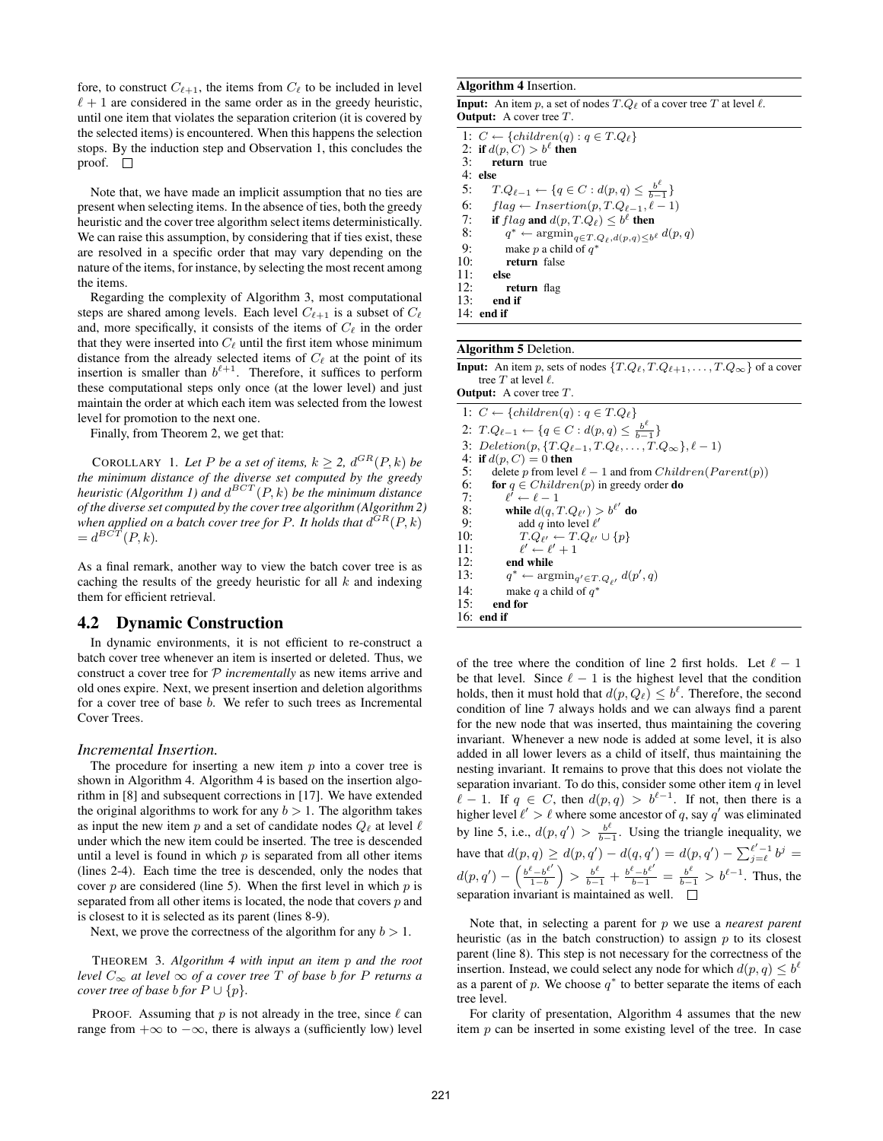fore, to construct  $C_{\ell+1}$ , the items from  $C_{\ell}$  to be included in level  $\ell + 1$  are considered in the same order as in the greedy heuristic, until one item that violates the separation criterion (it is covered by the selected items) is encountered. When this happens the selection stops. By the induction step and Observation 1, this concludes the proof.  $\square$ 

Note that, we have made an implicit assumption that no ties are present when selecting items. In the absence of ties, both the greedy heuristic and the cover tree algorithm select items deterministically. We can raise this assumption, by considering that if ties exist, these are resolved in a specific order that may vary depending on the nature of the items, for instance, by selecting the most recent among the items.

Regarding the complexity of Algorithm 3, most computational steps are shared among levels. Each level  $C_{\ell+1}$  is a subset of  $C_{\ell}$ and, more specifically, it consists of the items of  $C_{\ell}$  in the order that they were inserted into  $C_{\ell}$  until the first item whose minimum distance from the already selected items of  $C_{\ell}$  at the point of its insertion is smaller than  $b^{\ell+1}$ . Therefore, it suffices to perform these computational steps only once (at the lower level) and just maintain the order at which each item was selected from the lowest level for promotion to the next one.

Finally, from Theorem 2, we get that:

COROLLARY 1. Let P be a set of items,  $k \geq 2$ ,  $d^{GR}(P, k)$  be *the minimum distance of the diverse set computed by the greedy heuristic (Algorithm 1) and* d BCT (P, k) *be the minimum distance of the diverse set computed by the cover tree algorithm (Algorithm 2)* when applied on a batch cover tree for P. It holds that  $d^{GR}(P, k)$  $= d^{BCT}(P, k).$ 

As a final remark, another way to view the batch cover tree is as caching the results of the greedy heuristic for all  $k$  and indexing them for efficient retrieval.

#### **4.2 Dynamic Construction**

In dynamic environments, it is not efficient to re-construct a batch cover tree whenever an item is inserted or deleted. Thus, we construct a cover tree for P *incrementally* as new items arrive and old ones expire. Next, we present insertion and deletion algorithms for a cover tree of base b. We refer to such trees as Incremental Cover Trees.

#### *Incremental Insertion.*

The procedure for inserting a new item  $p$  into a cover tree is shown in Algorithm 4. Algorithm 4 is based on the insertion algorithm in [8] and subsequent corrections in [17]. We have extended the original algorithms to work for any  $b > 1$ . The algorithm takes as input the new item p and a set of candidate nodes  $Q_{\ell}$  at level  $\ell$ under which the new item could be inserted. The tree is descended until a level is found in which  $p$  is separated from all other items (lines 2-4). Each time the tree is descended, only the nodes that cover  $p$  are considered (line 5). When the first level in which  $p$  is separated from all other items is located, the node that covers p and is closest to it is selected as its parent (lines 8-9).

Next, we prove the correctness of the algorithm for any  $b > 1$ .

THEOREM 3. *Algorithm 4 with input an item* p *and the root level*  $C_{\infty}$  *at level*  $\infty$  *of a cover tree*  $T$  *of base b for*  $P$  *returns a cover tree of base b for*  $P \cup \{p\}$ *.* 

PROOF. Assuming that  $p$  is not already in the tree, since  $\ell$  can range from  $+\infty$  to  $-\infty$ , there is always a (sufficiently low) level

#### **Algorithm 4** Insertion.

**Input:** An item p, a set of nodes  $T.Q_\ell$  of a cover tree T at level  $\ell$ . **Output:** A cover tree T.

1:  $C \leftarrow \{children(q) : q \in T.Q_\ell\}$ 2: **if**  $d(p, C) > b^{\ell}$  **then** 3: **return** true 4: **else** 5:  $T.Q_{\ell-1} \leftarrow \{q \in C : d(p,q) \leq \frac{b^{\ell}}{b-1}\}$  $\frac{b^*}{b-1}\}$ 6:  $flag \leftarrow Insertion(p, T.Q_{\ell-1}, \ell-1)$ <br>7: if  $flag$  and  $d(p, T.Q_{\ell}) \leq b^{\ell}$  then 7: **if**  $flag$  and  $d(p, T.Q_\ell) \leq b^\ell$  then  $8:$ \* ←  $\argmin_{q \in T.Q_\ell, d(p,q) \leq b^\ell} d(p,q)$ 9: make p a child of  $q^*$ 10: **return** false 11: **else** 12: **return** flag<br>13: **end if** end if 14: **end if**

#### **Algorithm 5** Deletion.

**Input:** An item p, sets of nodes  $\{T.Q_\ell, T.Q_{\ell+1}, \ldots, T.Q_\infty\}$  of a cover tree  $T$  at level  $\ell$ .

**Output:** A cover tree T. 1:  $C \leftarrow \{children(q) : q \in T.Q_\ell\}$ 2:  $T.Q_{\ell-1} \leftarrow \{q \in C : d(p,q) \leq \frac{b^{\ell}}{b-1}\}$  $\frac{b^{\infty}}{b-1}$ } 3: Deletion(p, { $T.Q_{\ell-1}, T.Q_{\ell}, \ldots, T.Q_{\infty}$ },  $\ell-1$ ) 4: **if**  $d(p, C) = 0$  **then** 5: delete p from level  $\ell - 1$  and from *Children*(*Parent*(p))<br>6: **for**  $q \in Children(p)$  in greedy order **do** for  $q \in Children(p)$  in greedy order **do**  $7:8:$  $\ell' \leftarrow \ell - 1$ 8: **while**  $d(q, T, Q_{\ell'}) > b^{\ell'}$  do 9: add q into level  $\ell'$ 10:  $T.Q_{\ell'} \leftarrow T.Q_{\ell'} \cup \{p\}$  $\frac{11}{12}$ :  $\ell' \leftarrow \ell' + 1$ end while  $13:$ \* ←  $\arg\min_{q' \in T.Q_{\ell'}} d(p', q)$ 14: make q a child of  $q^*$ 15: **end for** 16: **end if**

of the tree where the condition of line 2 first holds. Let  $\ell - 1$ be that level. Since  $\ell - 1$  is the highest level that the condition holds, then it must hold that  $d(p, Q_\ell) \leq b^\ell$ . Therefore, the second condition of line 7 always holds and we can always find a parent for the new node that was inserted, thus maintaining the covering invariant. Whenever a new node is added at some level, it is also added in all lower levers as a child of itself, thus maintaining the nesting invariant. It remains to prove that this does not violate the separation invariant. To do this, consider some other item  $q$  in level  $\ell - 1$ . If  $q \in C$ , then  $d(p, q) > b^{\ell-1}$ . If not, then there is a higher level  $\ell' > \ell$  where some ancestor of q, say q' was eliminated by line 5, i.e.,  $d(p,q') > \frac{b^{\ell}}{b-1}$  $\frac{b^c}{b-1}$ . Using the triangle inequality, we have that  $d(p, q) \ge d(p, q') - d(q, q') = d(p, q') - \sum_{j=\ell}^{\ell'-1} b^j =$  $d(p,q') - \left(\frac{b^{\ell}-b^{\ell'}}{1-b}\right)$  $\left(\frac{\ell-b^{\ell}}{1-b}\right) > \frac{b^{\ell}}{b-1} + \frac{b^{\ell}-b^{\ell'}}{b-1} = \frac{b^{\ell}}{b-1} > b^{\ell-1}$ . Thus, the separation invariant is maintained as well.

Note that, in selecting a parent for p we use a *nearest parent* heuristic (as in the batch construction) to assign  $p$  to its closest parent (line 8). This step is not necessary for the correctness of the insertion. Instead, we could select any node for which  $d(p, q) \leq b^{\ell}$ as a parent of p. We choose  $q^*$  to better separate the items of each tree level.

For clarity of presentation, Algorithm 4 assumes that the new item p can be inserted in some existing level of the tree. In case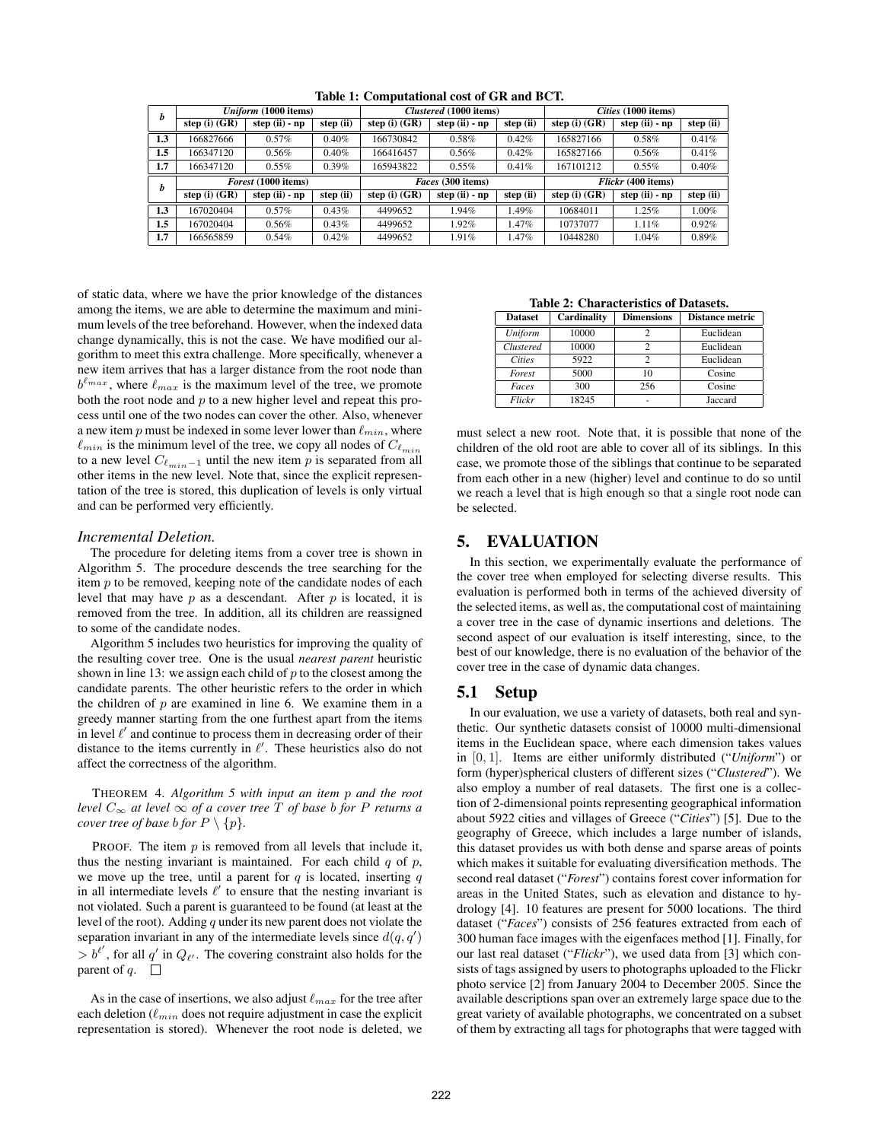| b       |                 | <i>Uniform</i> (1000 items) |           |                          | Clustered (1000 items) |           | Cities (1000 items) |                    |           |
|---------|-----------------|-----------------------------|-----------|--------------------------|------------------------|-----------|---------------------|--------------------|-----------|
|         | step (i) $(GR)$ | step $(ii)$ - $np$          | step (ii) | step (i) $(GR)$          | step $(ii)$ - $np$     | step (ii) | step (i) $(GR)$     | step $(ii)$ - np   | step (ii) |
| 1.3     | 166827666       | $0.57\%$                    | 0.40%     | 166730842                | 0.58%                  | 0.42%     | 165827166           | 0.58%              | 0.41%     |
| $1.5\,$ | 166347120       | $0.56\%$                    | 0.40%     | 166416457                | 0.56%                  | 0.42%     | 165827166           | $0.56\%$           | 0.41%     |
| $1.7\,$ | 166347120       | $0.55\%$                    | 0.39%     | 165943822                | $0.55\%$               | 0.41%     | 167101212           | $0.55\%$           | 0.40%     |
| b       |                 | <i>Forest</i> (1000 items)  |           | <i>Faces</i> (300 items) |                        |           | Flickr (400 items)  |                    |           |
|         | step (i) $(GR)$ | step $(ii)$ - np            | step (ii) | step (i) $(GR)$          | step $(ii)$ - np       | step (ii) | step (i) $(GR)$     | step $(ii)$ - $np$ | step (ii) |
|         |                 |                             |           |                          |                        |           |                     |                    |           |
| 1.3     | 167020404       | $0.57\%$                    | 0.43%     | 4499652                  | 1.94%                  | 1.49%     | 10684011            | $1.25\%$           | 1.00%     |
| 1.5     | 167020404       | $0.56\%$                    | $0.43\%$  | 4499652                  | 1.92%                  | 1.47%     | 10737077            | $1.11\%$           | 0.92%     |

**Table 1: Computational cost of GR and BCT.**

of static data, where we have the prior knowledge of the distances among the items, we are able to determine the maximum and minimum levels of the tree beforehand. However, when the indexed data change dynamically, this is not the case. We have modified our algorithm to meet this extra challenge. More specifically, whenever a new item arrives that has a larger distance from the root node than  $b^{\ell_{max}}$ , where  $\ell_{max}$  is the maximum level of the tree, we promote both the root node and  $p$  to a new higher level and repeat this process until one of the two nodes can cover the other. Also, whenever a new item p must be indexed in some lever lower than  $\ell_{min}$ , where  $\ell_{min}$  is the minimum level of the tree, we copy all nodes of  $C_{\ell_{min}}$ to a new level  $C_{\ell_{min}-1}$  until the new item p is separated from all other items in the new level. Note that, since the explicit representation of the tree is stored, this duplication of levels is only virtual and can be performed very efficiently.

#### *Incremental Deletion.*

The procedure for deleting items from a cover tree is shown in Algorithm 5. The procedure descends the tree searching for the item  $p$  to be removed, keeping note of the candidate nodes of each level that may have  $p$  as a descendant. After  $p$  is located, it is removed from the tree. In addition, all its children are reassigned to some of the candidate nodes.

Algorithm 5 includes two heuristics for improving the quality of the resulting cover tree. One is the usual *nearest parent* heuristic shown in line 13: we assign each child of  $p$  to the closest among the candidate parents. The other heuristic refers to the order in which the children of  $p$  are examined in line 6. We examine them in a greedy manner starting from the one furthest apart from the items in level  $\ell'$  and continue to process them in decreasing order of their distance to the items currently in  $\ell'$ . These heuristics also do not affect the correctness of the algorithm.

THEOREM 4. *Algorithm 5 with input an item* p *and the root level*  $C_{\infty}$  *at level*  $\infty$  *of a cover tree*  $T$  *of base b for*  $P$  *returns a cover tree of base b for*  $P \setminus \{p\}$ *.* 

PROOF. The item  $p$  is removed from all levels that include it, thus the nesting invariant is maintained. For each child  $q$  of  $p$ , we move up the tree, until a parent for  $q$  is located, inserting  $q$ in all intermediate levels  $\ell'$  to ensure that the nesting invariant is not violated. Such a parent is guaranteed to be found (at least at the level of the root). Adding  $q$  under its new parent does not violate the separation invariant in any of the intermediate levels since  $d(q, q')$  $> b^{\ell'}$ , for all q' in  $Q_{\ell'}$ . The covering constraint also holds for the parent of q.  $\Box$ 

As in the case of insertions, we also adjust  $\ell_{max}$  for the tree after each deletion ( $\ell_{min}$  does not require adjustment in case the explicit representation is stored). Whenever the root node is deleted, we

**Table 2: Characteristics of Datasets.**

| <b>Dataset</b> | Cardinality | <b>Dimensions</b> | <b>Distance metric</b> |
|----------------|-------------|-------------------|------------------------|
| Uniform        | 10000       |                   | Euclidean              |
| Clustered      | 10000       |                   | Euclidean              |
| <b>Cities</b>  | 5922        |                   | Euclidean              |
| Forest         | 5000        | 10                | Cosine                 |
| Faces          | 300         | 256               | Cosine                 |
| Flickr         | 18245       |                   | Jaccard                |

must select a new root. Note that, it is possible that none of the children of the old root are able to cover all of its siblings. In this case, we promote those of the siblings that continue to be separated from each other in a new (higher) level and continue to do so until we reach a level that is high enough so that a single root node can be selected.

# **5. EVALUATION**

In this section, we experimentally evaluate the performance of the cover tree when employed for selecting diverse results. This evaluation is performed both in terms of the achieved diversity of the selected items, as well as, the computational cost of maintaining a cover tree in the case of dynamic insertions and deletions. The second aspect of our evaluation is itself interesting, since, to the best of our knowledge, there is no evaluation of the behavior of the cover tree in the case of dynamic data changes.

#### **5.1 Setup**

In our evaluation, we use a variety of datasets, both real and synthetic. Our synthetic datasets consist of 10000 multi-dimensional items in the Euclidean space, where each dimension takes values in [0, 1]. Items are either uniformly distributed ("*Uniform*") or form (hyper)spherical clusters of different sizes ("*Clustered*"). We also employ a number of real datasets. The first one is a collection of 2-dimensional points representing geographical information about 5922 cities and villages of Greece ("*Cities*") [5]. Due to the geography of Greece, which includes a large number of islands, this dataset provides us with both dense and sparse areas of points which makes it suitable for evaluating diversification methods. The second real dataset ("*Forest*") contains forest cover information for areas in the United States, such as elevation and distance to hydrology [4]. 10 features are present for 5000 locations. The third dataset ("*Faces*") consists of 256 features extracted from each of 300 human face images with the eigenfaces method [1]. Finally, for our last real dataset ("*Flickr*"), we used data from [3] which consists of tags assigned by users to photographs uploaded to the Flickr photo service [2] from January 2004 to December 2005. Since the available descriptions span over an extremely large space due to the great variety of available photographs, we concentrated on a subset of them by extracting all tags for photographs that were tagged with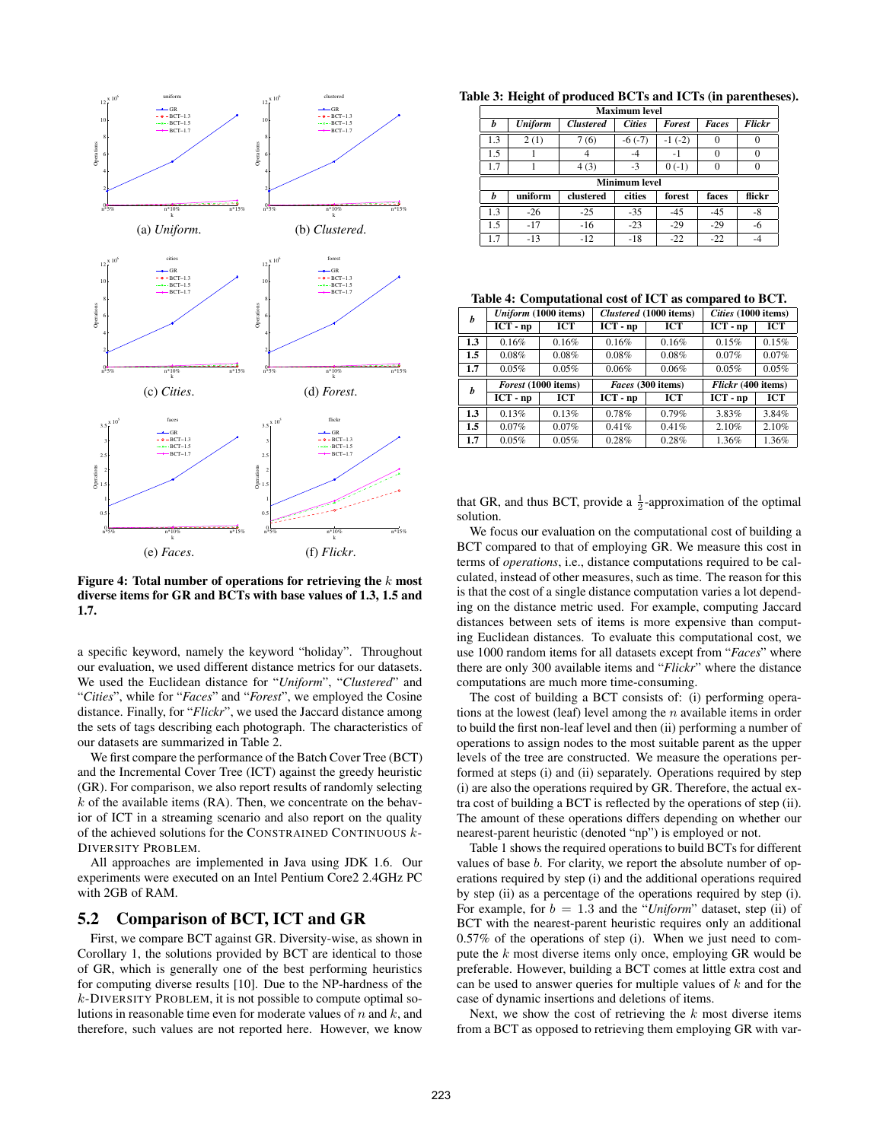

**Figure 4: Total number of operations for retrieving the** k **most diverse items for GR and BCTs with base values of 1.3, 1.5 and 1.7.**

a specific keyword, namely the keyword "holiday". Throughout our evaluation, we used different distance metrics for our datasets. We used the Euclidean distance for "*Uniform*", "*Clustered*" and "*Cities*", while for "*Faces*" and "*Forest*", we employed the Cosine distance. Finally, for "*Flickr*", we used the Jaccard distance among the sets of tags describing each photograph. The characteristics of our datasets are summarized in Table 2.

We first compare the performance of the Batch Cover Tree (BCT) and the Incremental Cover Tree (ICT) against the greedy heuristic (GR). For comparison, we also report results of randomly selecting  $k$  of the available items (RA). Then, we concentrate on the behavior of ICT in a streaming scenario and also report on the quality of the achieved solutions for the CONSTRAINED CONTINUOUS k-DIVERSITY PROBLEM.

All approaches are implemented in Java using JDK 1.6. Our experiments were executed on an Intel Pentium Core2 2.4GHz PC with 2GB of RAM.

# **5.2 Comparison of BCT, ICT and GR**

First, we compare BCT against GR. Diversity-wise, as shown in Corollary 1, the solutions provided by BCT are identical to those of GR, which is generally one of the best performing heuristics for computing diverse results [10]. Due to the NP-hardness of the k-DIVERSITY PROBLEM, it is not possible to compute optimal solutions in reasonable time even for moderate values of  $n$  and  $k$ , and therefore, such values are not reported here. However, we know

**Table 3: Height of produced BCTs and ICTs (in parentheses).**

|     |                      |                  | <b>Maximum</b> level |               |              |          |  |  |  |  |
|-----|----------------------|------------------|----------------------|---------------|--------------|----------|--|--|--|--|
| b   | <b>Uniform</b>       | <b>Clustered</b> | <b>Cities</b>        | <b>Forest</b> | <b>Faces</b> | Flickr   |  |  |  |  |
| 1.3 | 2(1)                 | 7(6)             | $-6(-7)$             | $-1$ $(-2)$   | 0            |          |  |  |  |  |
| 1.5 |                      |                  | -4                   | - 1           | 0            |          |  |  |  |  |
| 1.7 |                      | 4(3)             | $-3$                 | $0(-1)$       | $\Omega$     | $\Omega$ |  |  |  |  |
|     | <b>Minimum level</b> |                  |                      |               |              |          |  |  |  |  |
|     |                      |                  |                      |               |              |          |  |  |  |  |
| b   | uniform              | clustered        | cities               | forest        | faces        | flickr   |  |  |  |  |
| 1.3 | $-26$                | $-25$            | $-35$                | $-45$         | $-45$        | $-8$     |  |  |  |  |
| 1.5 | $-17$                | $-16$            | $-23$                | $-29$         | $-29$        | -6       |  |  |  |  |

**Table 4: Computational cost of ICT as compared to BCT.**

|                  | 18010 B Companional cost of ICI as compared to DCT. |                      |                       |                        |                                 |            |  |
|------------------|-----------------------------------------------------|----------------------|-----------------------|------------------------|---------------------------------|------------|--|
| h                |                                                     | Uniform (1000 items) |                       | Clustered (1000 items) | Cities (1000 items)             |            |  |
|                  | $\overline{\text{ICT}} \cdot \text{np}$             | ICT                  | $\overline{ICT}$ - np | <b>ICT</b>             | $\overline{ICT}$ - np           | <b>ICT</b> |  |
| 1.3              | 0.16%                                               | 0.16%                | 0.16%                 | 0.16%                  | 0.15%                           | 0.15%      |  |
| 1.5              | 0.08%                                               | $0.08\%$             | 0.08%                 | 0.08%                  | 0.07%                           | 0.07%      |  |
| 1.7              | 0.05%                                               | 0.05%                | 0.06%                 | 0.06%                  | 0.05%                           | 0.05%      |  |
|                  |                                                     |                      |                       |                        |                                 |            |  |
|                  |                                                     | Forest (1000 items)  |                       | Faces (300 items)      | $\overline{Flickr}$ (400 items) |            |  |
| $\boldsymbol{h}$ | $\overline{ICT}$ - np                               | ICT                  | $\overline{ICT}$ - np | ICT                    | $\overline{ICT}$ - np           | ICT        |  |
| 1.3              | 0.13%                                               | 0.13%                | 0.78%                 | 0.79%                  | 3.83%                           | 3.84%      |  |
| $1.5\,$          | 0.07%                                               | $0.07\%$             | 0.41%                 | 0.41%                  | 2.10%                           | 2.10%      |  |

that GR, and thus BCT, provide a  $\frac{1}{2}$ -approximation of the optimal solution.

We focus our evaluation on the computational cost of building a BCT compared to that of employing GR. We measure this cost in terms of *operations*, i.e., distance computations required to be calculated, instead of other measures, such as time. The reason for this is that the cost of a single distance computation varies a lot depending on the distance metric used. For example, computing Jaccard distances between sets of items is more expensive than computing Euclidean distances. To evaluate this computational cost, we use 1000 random items for all datasets except from "*Faces*" where there are only 300 available items and "*Flickr*" where the distance computations are much more time-consuming.

The cost of building a BCT consists of: (i) performing operations at the lowest (leaf) level among the  $n$  available items in order to build the first non-leaf level and then (ii) performing a number of operations to assign nodes to the most suitable parent as the upper levels of the tree are constructed. We measure the operations performed at steps (i) and (ii) separately. Operations required by step (i) are also the operations required by GR. Therefore, the actual extra cost of building a BCT is reflected by the operations of step (ii). The amount of these operations differs depending on whether our nearest-parent heuristic (denoted "np") is employed or not.

Table 1 shows the required operations to build BCTs for different values of base b. For clarity, we report the absolute number of operations required by step (i) and the additional operations required by step (ii) as a percentage of the operations required by step (i). For example, for  $b = 1.3$  and the "*Uniform*" dataset, step (ii) of BCT with the nearest-parent heuristic requires only an additional 0.57% of the operations of step (i). When we just need to compute the k most diverse items only once, employing GR would be preferable. However, building a BCT comes at little extra cost and can be used to answer queries for multiple values of  $k$  and for the case of dynamic insertions and deletions of items.

Next, we show the cost of retrieving the  $k$  most diverse items from a BCT as opposed to retrieving them employing GR with var-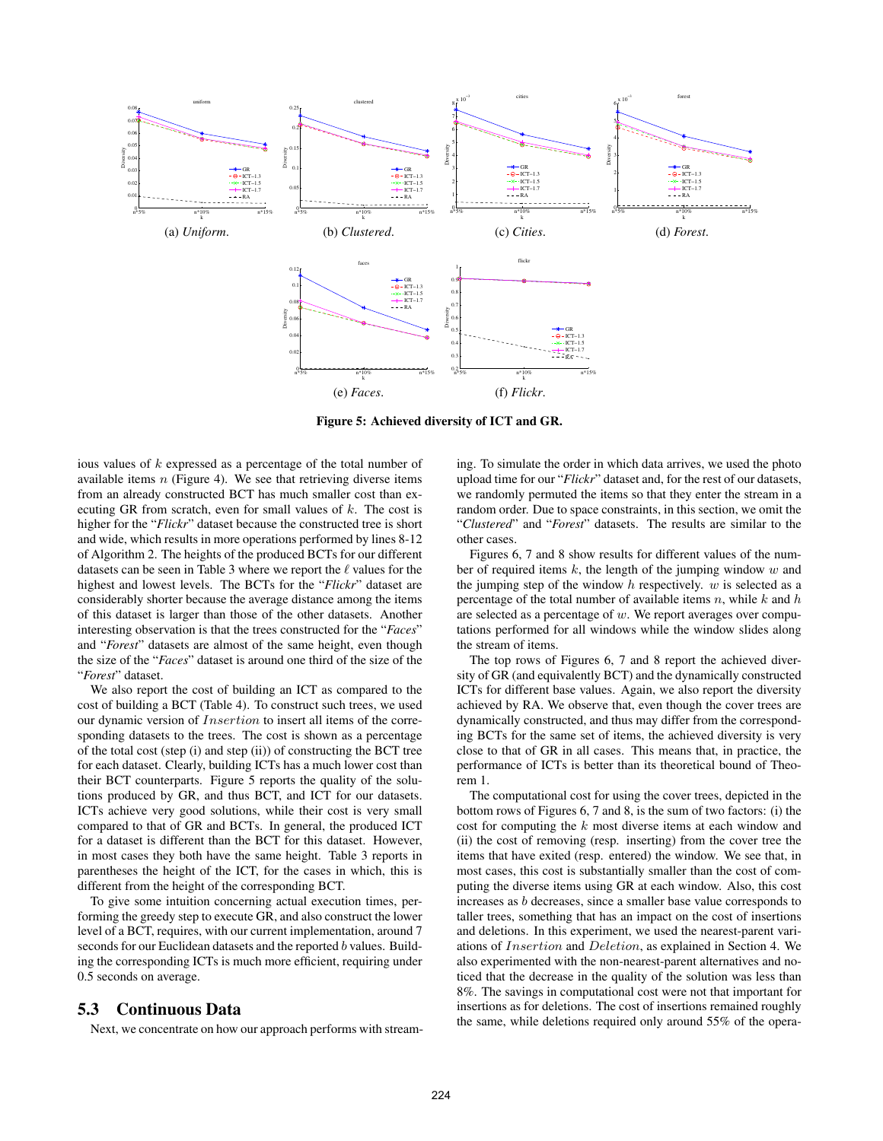

**Figure 5: Achieved diversity of ICT and GR.**

ious values of k expressed as a percentage of the total number of available items  $n$  (Figure 4). We see that retrieving diverse items from an already constructed BCT has much smaller cost than executing GR from scratch, even for small values of  $k$ . The cost is higher for the "*Flickr*" dataset because the constructed tree is short and wide, which results in more operations performed by lines 8-12 of Algorithm 2. The heights of the produced BCTs for our different datasets can be seen in Table 3 where we report the  $\ell$  values for the highest and lowest levels. The BCTs for the "*Flickr*" dataset are considerably shorter because the average distance among the items of this dataset is larger than those of the other datasets. Another interesting observation is that the trees constructed for the "*Faces*" and "*Forest*" datasets are almost of the same height, even though the size of the "*Faces*" dataset is around one third of the size of the "*Forest*" dataset.

We also report the cost of building an ICT as compared to the cost of building a BCT (Table 4). To construct such trees, we used our dynamic version of Insertion to insert all items of the corresponding datasets to the trees. The cost is shown as a percentage of the total cost (step (i) and step (ii)) of constructing the BCT tree for each dataset. Clearly, building ICTs has a much lower cost than their BCT counterparts. Figure 5 reports the quality of the solutions produced by GR, and thus BCT, and ICT for our datasets. ICTs achieve very good solutions, while their cost is very small compared to that of GR and BCTs. In general, the produced ICT for a dataset is different than the BCT for this dataset. However, in most cases they both have the same height. Table 3 reports in parentheses the height of the ICT, for the cases in which, this is different from the height of the corresponding BCT.

To give some intuition concerning actual execution times, performing the greedy step to execute GR, and also construct the lower level of a BCT, requires, with our current implementation, around 7 seconds for our Euclidean datasets and the reported b values. Building the corresponding ICTs is much more efficient, requiring under 0.5 seconds on average.

## **5.3 Continuous Data**

Next, we concentrate on how our approach performs with stream-

ing. To simulate the order in which data arrives, we used the photo upload time for our "*Flickr*" dataset and, for the rest of our datasets, we randomly permuted the items so that they enter the stream in a random order. Due to space constraints, in this section, we omit the "*Clustered*" and "*Forest*" datasets. The results are similar to the other cases.

Figures 6, 7 and 8 show results for different values of the number of required items  $k$ , the length of the jumping window  $w$  and the jumping step of the window  $h$  respectively.  $w$  is selected as a percentage of the total number of available items  $n$ , while  $k$  and  $h$ are selected as a percentage of  $w$ . We report averages over computations performed for all windows while the window slides along the stream of items.

The top rows of Figures 6, 7 and 8 report the achieved diversity of GR (and equivalently BCT) and the dynamically constructed ICTs for different base values. Again, we also report the diversity achieved by RA. We observe that, even though the cover trees are dynamically constructed, and thus may differ from the corresponding BCTs for the same set of items, the achieved diversity is very close to that of GR in all cases. This means that, in practice, the performance of ICTs is better than its theoretical bound of Theorem 1.

The computational cost for using the cover trees, depicted in the bottom rows of Figures 6, 7 and 8, is the sum of two factors: (i) the cost for computing the  $k$  most diverse items at each window and (ii) the cost of removing (resp. inserting) from the cover tree the items that have exited (resp. entered) the window. We see that, in most cases, this cost is substantially smaller than the cost of computing the diverse items using GR at each window. Also, this cost increases as b decreases, since a smaller base value corresponds to taller trees, something that has an impact on the cost of insertions and deletions. In this experiment, we used the nearest-parent variations of Insertion and Deletion, as explained in Section 4. We also experimented with the non-nearest-parent alternatives and noticed that the decrease in the quality of the solution was less than 8%. The savings in computational cost were not that important for insertions as for deletions. The cost of insertions remained roughly the same, while deletions required only around 55% of the opera-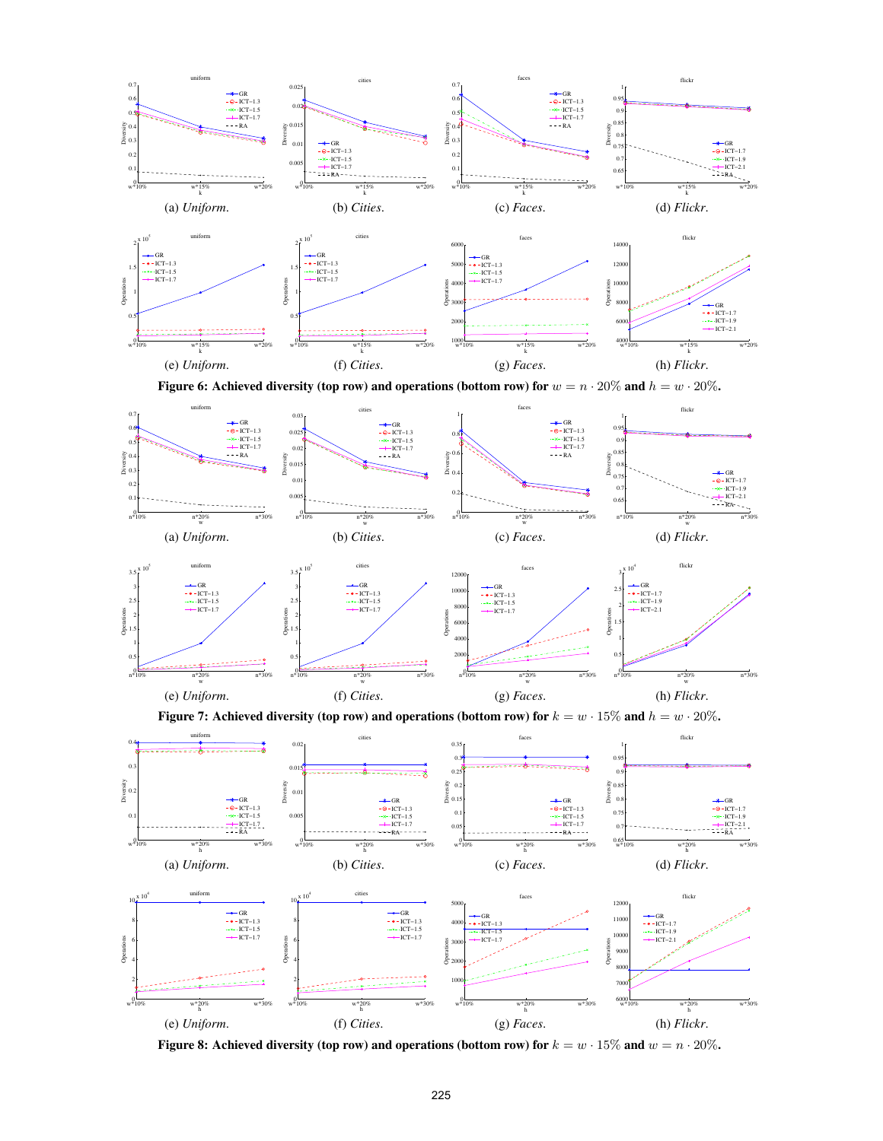

**Figure 6:** Achieved diversity (top row) and operations (bottom row) for  $w = n \cdot 20\%$  and  $h = w \cdot 20\%$ .



**Figure** 7: Achieved diversity (top row) and operations (bottom row) for  $k = w \cdot 15\%$  and  $h = w \cdot 20\%$ .



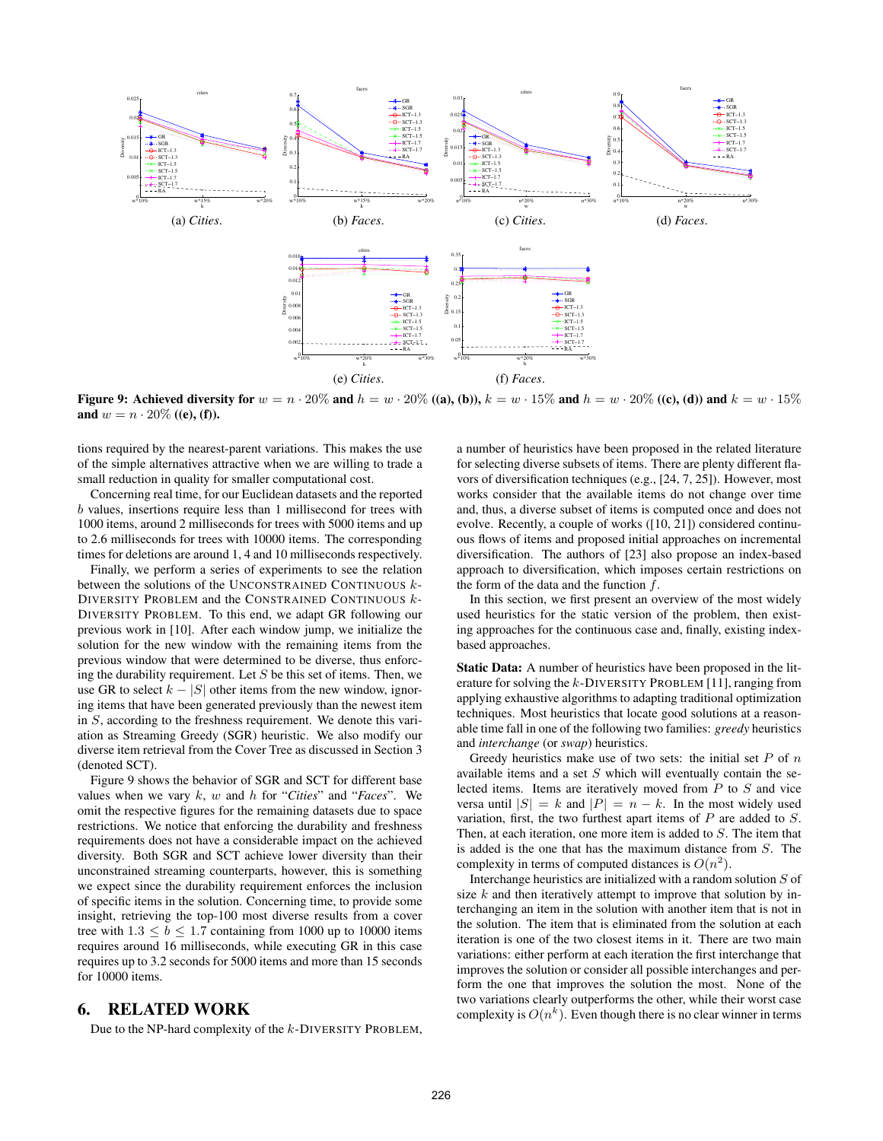

**Figure 9:** Achieved diversity for  $w = n \cdot 20\%$  and  $h = w \cdot 20\%$  ((a), (b)),  $k = w \cdot 15\%$  and  $h = w \cdot 20\%$  ((c), (d)) and  $k = w \cdot 15\%$ **and**  $w = n \cdot 20\%$  ((e), (f)).

tions required by the nearest-parent variations. This makes the use of the simple alternatives attractive when we are willing to trade a small reduction in quality for smaller computational cost.

Concerning real time, for our Euclidean datasets and the reported b values, insertions require less than 1 millisecond for trees with 1000 items, around 2 milliseconds for trees with 5000 items and up to 2.6 milliseconds for trees with 10000 items. The corresponding times for deletions are around 1, 4 and 10 milliseconds respectively.

Finally, we perform a series of experiments to see the relation between the solutions of the UNCONSTRAINED CONTINUOUS k-DIVERSITY PROBLEM and the CONSTRAINED CONTINUOUS k-DIVERSITY PROBLEM. To this end, we adapt GR following our previous work in [10]. After each window jump, we initialize the solution for the new window with the remaining items from the previous window that were determined to be diverse, thus enforcing the durability requirement. Let  $S$  be this set of items. Then, we use GR to select  $k - |S|$  other items from the new window, ignoring items that have been generated previously than the newest item in S, according to the freshness requirement. We denote this variation as Streaming Greedy (SGR) heuristic. We also modify our diverse item retrieval from the Cover Tree as discussed in Section 3 (denoted SCT).

Figure 9 shows the behavior of SGR and SCT for different base values when we vary k, w and h for "*Cities*" and "*Faces*". We omit the respective figures for the remaining datasets due to space restrictions. We notice that enforcing the durability and freshness requirements does not have a considerable impact on the achieved diversity. Both SGR and SCT achieve lower diversity than their unconstrained streaming counterparts, however, this is something we expect since the durability requirement enforces the inclusion of specific items in the solution. Concerning time, to provide some insight, retrieving the top-100 most diverse results from a cover tree with  $1.3 \le b \le 1.7$  containing from 1000 up to 10000 items requires around 16 milliseconds, while executing GR in this case requires up to 3.2 seconds for 5000 items and more than 15 seconds for 10000 items.

# **6. RELATED WORK**

Due to the NP-hard complexity of the k-DIVERSITY PROBLEM,

a number of heuristics have been proposed in the related literature for selecting diverse subsets of items. There are plenty different flavors of diversification techniques (e.g., [24, 7, 25]). However, most works consider that the available items do not change over time and, thus, a diverse subset of items is computed once and does not evolve. Recently, a couple of works ([10, 21]) considered continuous flows of items and proposed initial approaches on incremental diversification. The authors of [23] also propose an index-based approach to diversification, which imposes certain restrictions on the form of the data and the function  $f$ .

In this section, we first present an overview of the most widely used heuristics for the static version of the problem, then existing approaches for the continuous case and, finally, existing indexbased approaches.

**Static Data:** A number of heuristics have been proposed in the literature for solving the k-DIVERSITY PROBLEM [11], ranging from applying exhaustive algorithms to adapting traditional optimization techniques. Most heuristics that locate good solutions at a reasonable time fall in one of the following two families: *greedy* heuristics and *interchange* (or *swap*) heuristics.

Greedy heuristics make use of two sets: the initial set  $P$  of  $n$ available items and a set  $S$  which will eventually contain the selected items. Items are iteratively moved from P to S and vice versa until  $|S| = k$  and  $|P| = n - k$ . In the most widely used variation, first, the two furthest apart items of  $P$  are added to  $S$ . Then, at each iteration, one more item is added to S. The item that is added is the one that has the maximum distance from S. The complexity in terms of computed distances is  $O(n^2)$ .

Interchange heuristics are initialized with a random solution S of size  $k$  and then iteratively attempt to improve that solution by interchanging an item in the solution with another item that is not in the solution. The item that is eliminated from the solution at each iteration is one of the two closest items in it. There are two main variations: either perform at each iteration the first interchange that improves the solution or consider all possible interchanges and perform the one that improves the solution the most. None of the two variations clearly outperforms the other, while their worst case complexity is  $O(n^k)$ . Even though there is no clear winner in terms